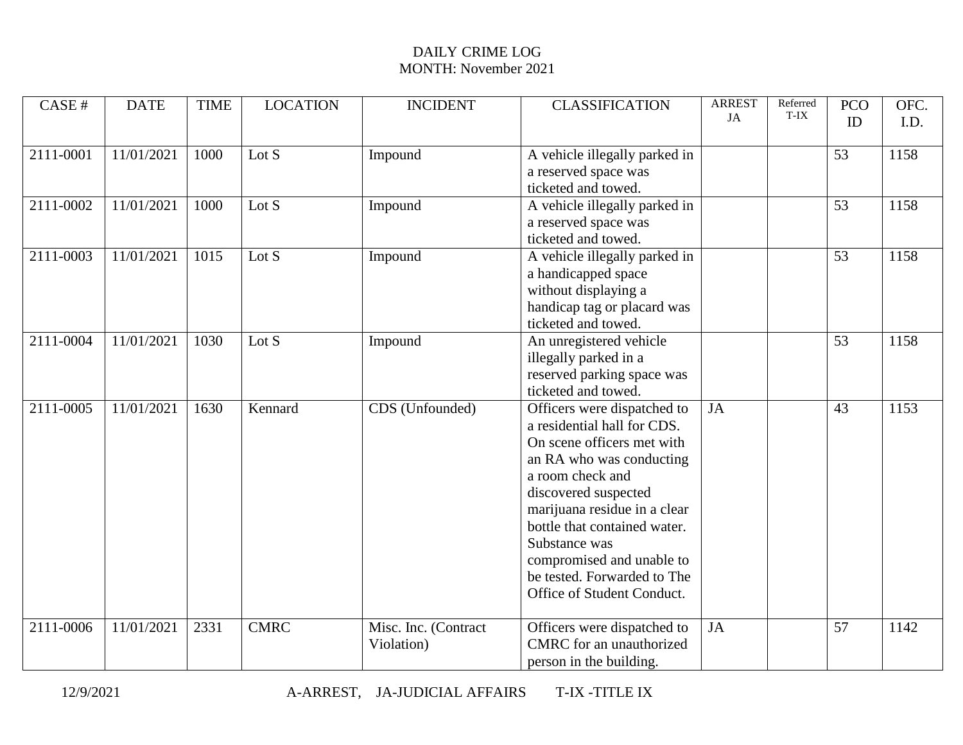| CASE #    | <b>DATE</b> | <b>TIME</b> | <b>LOCATION</b>    | <b>INCIDENT</b>                    | <b>CLASSIFICATION</b>                                                                                                                                                                                                                                                                                                                       | <b>ARREST</b><br>JA | Referred<br>T-IX | <b>PCO</b><br>ID | OFC.<br>I.D. |
|-----------|-------------|-------------|--------------------|------------------------------------|---------------------------------------------------------------------------------------------------------------------------------------------------------------------------------------------------------------------------------------------------------------------------------------------------------------------------------------------|---------------------|------------------|------------------|--------------|
| 2111-0001 | 11/01/2021  | 1000        | Lot $\overline{S}$ | Impound                            | A vehicle illegally parked in<br>a reserved space was<br>ticketed and towed.                                                                                                                                                                                                                                                                |                     |                  | 53               | 1158         |
| 2111-0002 | 11/01/2021  | 1000        | Lot S              | Impound                            | A vehicle illegally parked in<br>a reserved space was<br>ticketed and towed.                                                                                                                                                                                                                                                                |                     |                  | 53               | 1158         |
| 2111-0003 | 11/01/2021  | 1015        | Lot S              | Impound                            | A vehicle illegally parked in<br>a handicapped space<br>without displaying a<br>handicap tag or placard was<br>ticketed and towed.                                                                                                                                                                                                          |                     |                  | 53               | 1158         |
| 2111-0004 | 11/01/2021  | 1030        | Lot $S$            | Impound                            | An unregistered vehicle<br>illegally parked in a<br>reserved parking space was<br>ticketed and towed.                                                                                                                                                                                                                                       |                     |                  | 53               | 1158         |
| 2111-0005 | 11/01/2021  | 1630        | Kennard            | CDS (Unfounded)                    | Officers were dispatched to<br>a residential hall for CDS.<br>On scene officers met with<br>an RA who was conducting<br>a room check and<br>discovered suspected<br>marijuana residue in a clear<br>bottle that contained water.<br>Substance was<br>compromised and unable to<br>be tested. Forwarded to The<br>Office of Student Conduct. | JA                  |                  | 43               | 1153         |
| 2111-0006 | 11/01/2021  | 2331        | <b>CMRC</b>        | Misc. Inc. (Contract<br>Violation) | Officers were dispatched to<br>CMRC for an unauthorized<br>person in the building.                                                                                                                                                                                                                                                          | <b>JA</b>           |                  | $\overline{57}$  | 1142         |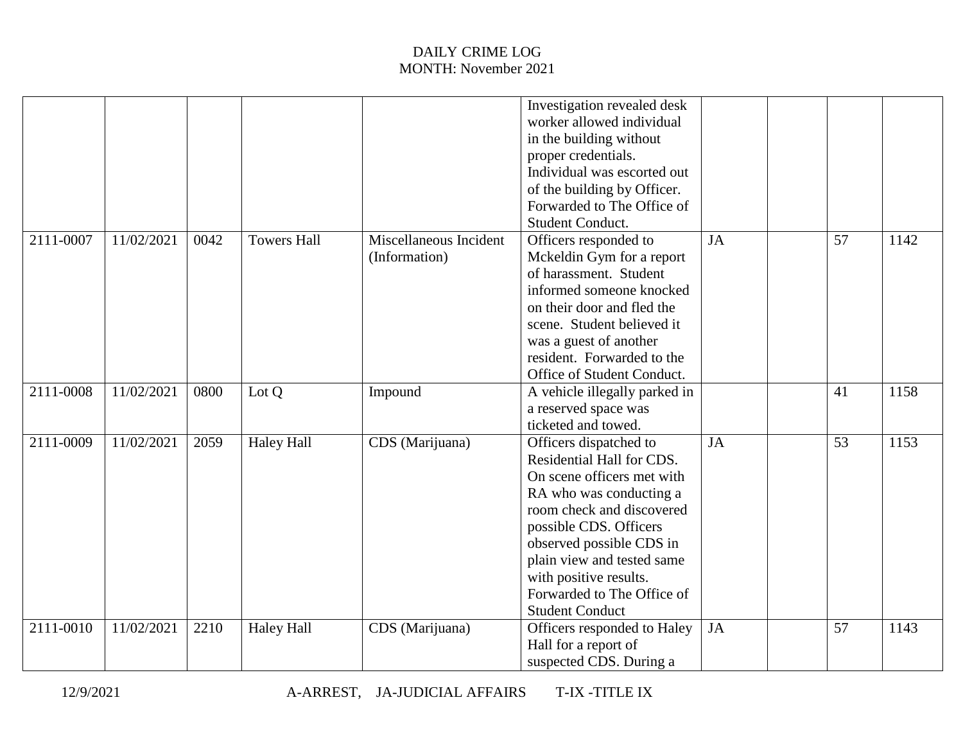|           |            |      |                    |                                         | Investigation revealed desk<br>worker allowed individual<br>in the building without<br>proper credentials.<br>Individual was escorted out<br>of the building by Officer.<br>Forwarded to The Office of<br>Student Conduct.                                                                                      |           |                 |      |
|-----------|------------|------|--------------------|-----------------------------------------|-----------------------------------------------------------------------------------------------------------------------------------------------------------------------------------------------------------------------------------------------------------------------------------------------------------------|-----------|-----------------|------|
| 2111-0007 | 11/02/2021 | 0042 | <b>Towers Hall</b> | Miscellaneous Incident<br>(Information) | Officers responded to<br>Mckeldin Gym for a report<br>of harassment. Student<br>informed someone knocked<br>on their door and fled the<br>scene. Student believed it<br>was a guest of another<br>resident. Forwarded to the<br>Office of Student Conduct.                                                      | <b>JA</b> | 57              | 1142 |
| 2111-0008 | 11/02/2021 | 0800 | Lot Q              | Impound                                 | A vehicle illegally parked in<br>a reserved space was<br>ticketed and towed.                                                                                                                                                                                                                                    |           | 41              | 1158 |
| 2111-0009 | 11/02/2021 | 2059 | <b>Haley Hall</b>  | CDS (Marijuana)                         | Officers dispatched to<br>Residential Hall for CDS.<br>On scene officers met with<br>RA who was conducting a<br>room check and discovered<br>possible CDS. Officers<br>observed possible CDS in<br>plain view and tested same<br>with positive results.<br>Forwarded to The Office of<br><b>Student Conduct</b> | JA        | $\overline{53}$ | 1153 |
| 2111-0010 | 11/02/2021 | 2210 | <b>Haley Hall</b>  | CDS (Marijuana)                         | Officers responded to Haley<br>Hall for a report of<br>suspected CDS. During a                                                                                                                                                                                                                                  | <b>JA</b> | 57              | 1143 |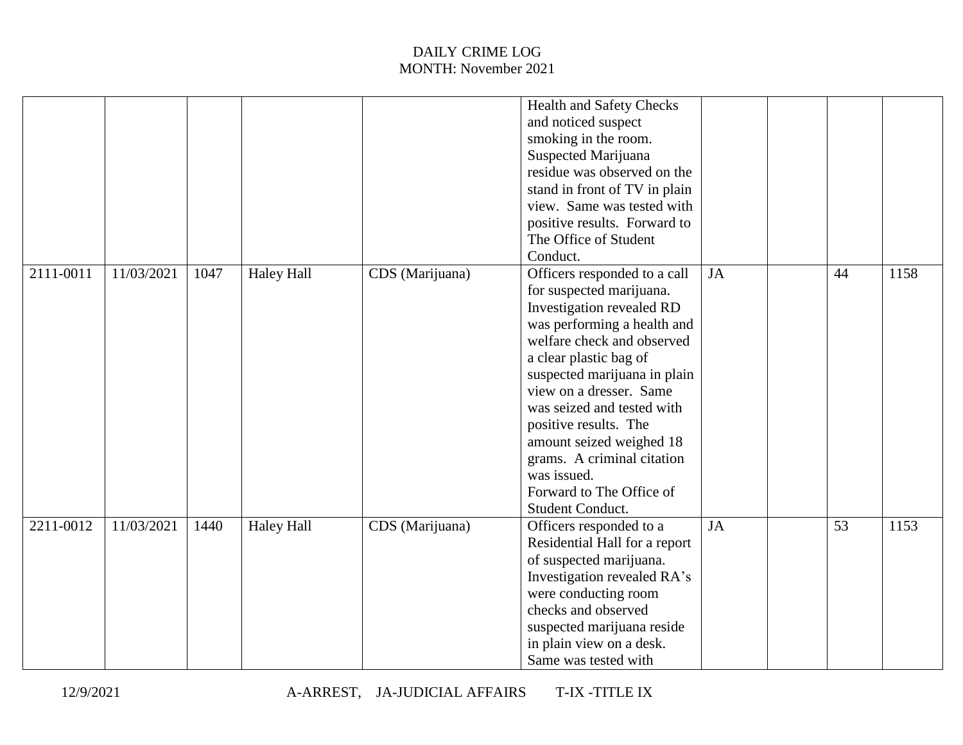|           |            |      |                   |                 | <b>Health and Safety Checks</b> |           |    |      |
|-----------|------------|------|-------------------|-----------------|---------------------------------|-----------|----|------|
|           |            |      |                   |                 | and noticed suspect             |           |    |      |
|           |            |      |                   |                 | smoking in the room.            |           |    |      |
|           |            |      |                   |                 | Suspected Marijuana             |           |    |      |
|           |            |      |                   |                 | residue was observed on the     |           |    |      |
|           |            |      |                   |                 | stand in front of TV in plain   |           |    |      |
|           |            |      |                   |                 | view. Same was tested with      |           |    |      |
|           |            |      |                   |                 | positive results. Forward to    |           |    |      |
|           |            |      |                   |                 | The Office of Student           |           |    |      |
|           |            |      |                   |                 | Conduct.                        |           |    |      |
| 2111-0011 | 11/03/2021 | 1047 | <b>Haley Hall</b> | CDS (Marijuana) | Officers responded to a call    | <b>JA</b> | 44 | 1158 |
|           |            |      |                   |                 | for suspected marijuana.        |           |    |      |
|           |            |      |                   |                 | Investigation revealed RD       |           |    |      |
|           |            |      |                   |                 | was performing a health and     |           |    |      |
|           |            |      |                   |                 | welfare check and observed      |           |    |      |
|           |            |      |                   |                 | a clear plastic bag of          |           |    |      |
|           |            |      |                   |                 | suspected marijuana in plain    |           |    |      |
|           |            |      |                   |                 | view on a dresser. Same         |           |    |      |
|           |            |      |                   |                 | was seized and tested with      |           |    |      |
|           |            |      |                   |                 | positive results. The           |           |    |      |
|           |            |      |                   |                 |                                 |           |    |      |
|           |            |      |                   |                 | amount seized weighed 18        |           |    |      |
|           |            |      |                   |                 | grams. A criminal citation      |           |    |      |
|           |            |      |                   |                 | was issued.                     |           |    |      |
|           |            |      |                   |                 | Forward to The Office of        |           |    |      |
|           |            |      |                   |                 | Student Conduct.                |           |    |      |
| 2211-0012 | 11/03/2021 | 1440 | <b>Haley Hall</b> | CDS (Marijuana) | Officers responded to a         | <b>JA</b> | 53 | 1153 |
|           |            |      |                   |                 | Residential Hall for a report   |           |    |      |
|           |            |      |                   |                 | of suspected marijuana.         |           |    |      |
|           |            |      |                   |                 | Investigation revealed RA's     |           |    |      |
|           |            |      |                   |                 | were conducting room            |           |    |      |
|           |            |      |                   |                 | checks and observed             |           |    |      |
|           |            |      |                   |                 | suspected marijuana reside      |           |    |      |
|           |            |      |                   |                 | in plain view on a desk.        |           |    |      |
|           |            |      |                   |                 | Same was tested with            |           |    |      |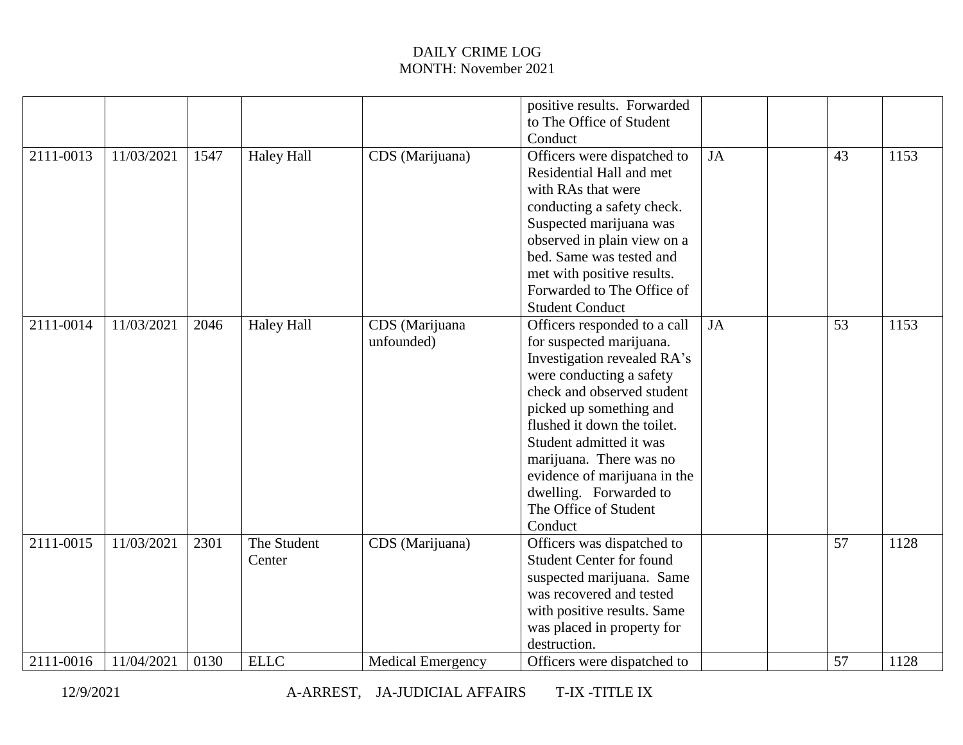|           |            |      |                   |                          | positive results. Forwarded     |           |    |      |
|-----------|------------|------|-------------------|--------------------------|---------------------------------|-----------|----|------|
|           |            |      |                   |                          | to The Office of Student        |           |    |      |
|           |            |      |                   |                          | Conduct                         |           |    |      |
| 2111-0013 | 11/03/2021 | 1547 | <b>Haley Hall</b> | CDS (Marijuana)          | Officers were dispatched to     | <b>JA</b> | 43 | 1153 |
|           |            |      |                   |                          | Residential Hall and met        |           |    |      |
|           |            |      |                   |                          | with RAs that were              |           |    |      |
|           |            |      |                   |                          | conducting a safety check.      |           |    |      |
|           |            |      |                   |                          | Suspected marijuana was         |           |    |      |
|           |            |      |                   |                          | observed in plain view on a     |           |    |      |
|           |            |      |                   |                          | bed. Same was tested and        |           |    |      |
|           |            |      |                   |                          | met with positive results.      |           |    |      |
|           |            |      |                   |                          | Forwarded to The Office of      |           |    |      |
|           |            |      |                   |                          | <b>Student Conduct</b>          |           |    |      |
| 2111-0014 | 11/03/2021 | 2046 | <b>Haley Hall</b> | CDS (Marijuana           | Officers responded to a call    | <b>JA</b> | 53 | 1153 |
|           |            |      |                   | unfounded)               | for suspected marijuana.        |           |    |      |
|           |            |      |                   |                          | Investigation revealed RA's     |           |    |      |
|           |            |      |                   |                          | were conducting a safety        |           |    |      |
|           |            |      |                   |                          | check and observed student      |           |    |      |
|           |            |      |                   |                          | picked up something and         |           |    |      |
|           |            |      |                   |                          | flushed it down the toilet.     |           |    |      |
|           |            |      |                   |                          | Student admitted it was         |           |    |      |
|           |            |      |                   |                          | marijuana. There was no         |           |    |      |
|           |            |      |                   |                          | evidence of marijuana in the    |           |    |      |
|           |            |      |                   |                          | dwelling. Forwarded to          |           |    |      |
|           |            |      |                   |                          | The Office of Student           |           |    |      |
|           |            |      |                   |                          | Conduct                         |           |    |      |
| 2111-0015 | 11/03/2021 | 2301 | The Student       | CDS (Marijuana)          | Officers was dispatched to      |           | 57 | 1128 |
|           |            |      | Center            |                          | <b>Student Center for found</b> |           |    |      |
|           |            |      |                   |                          | suspected marijuana. Same       |           |    |      |
|           |            |      |                   |                          | was recovered and tested        |           |    |      |
|           |            |      |                   |                          | with positive results. Same     |           |    |      |
|           |            |      |                   |                          | was placed in property for      |           |    |      |
|           |            |      |                   |                          | destruction.                    |           |    |      |
| 2111-0016 | 11/04/2021 | 0130 | <b>ELLC</b>       | <b>Medical Emergency</b> | Officers were dispatched to     |           | 57 | 1128 |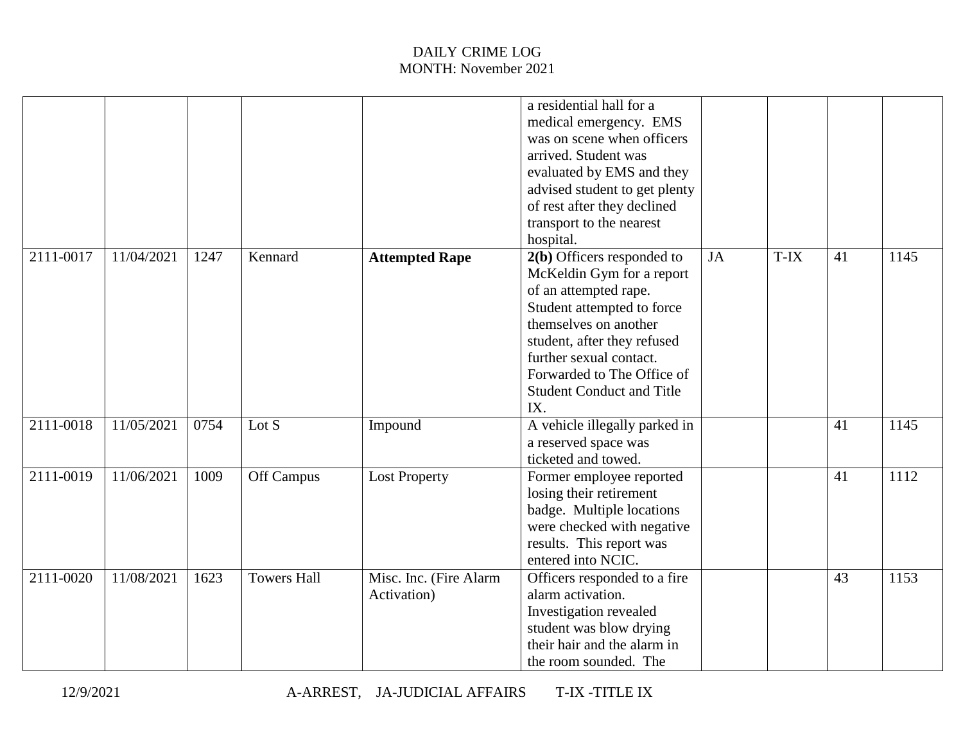|           |            |      |                    |                                       | a residential hall for a<br>medical emergency. EMS<br>was on scene when officers<br>arrived. Student was<br>evaluated by EMS and they<br>advised student to get plenty<br>of rest after they declined<br>transport to the nearest<br>hospital.                             |    |      |    |      |
|-----------|------------|------|--------------------|---------------------------------------|----------------------------------------------------------------------------------------------------------------------------------------------------------------------------------------------------------------------------------------------------------------------------|----|------|----|------|
| 2111-0017 | 11/04/2021 | 1247 | Kennard            | <b>Attempted Rape</b>                 | 2(b) Officers responded to<br>McKeldin Gym for a report<br>of an attempted rape.<br>Student attempted to force<br>themselves on another<br>student, after they refused<br>further sexual contact.<br>Forwarded to The Office of<br><b>Student Conduct and Title</b><br>IX. | JA | T-IX | 41 | 1145 |
| 2111-0018 | 11/05/2021 | 0754 | Lot $S$            | Impound                               | A vehicle illegally parked in<br>a reserved space was<br>ticketed and towed.                                                                                                                                                                                               |    |      | 41 | 1145 |
| 2111-0019 | 11/06/2021 | 1009 | Off Campus         | <b>Lost Property</b>                  | Former employee reported<br>losing their retirement<br>badge. Multiple locations<br>were checked with negative<br>results. This report was<br>entered into NCIC.                                                                                                           |    |      | 41 | 1112 |
| 2111-0020 | 11/08/2021 | 1623 | <b>Towers Hall</b> | Misc. Inc. (Fire Alarm<br>Activation) | Officers responded to a fire<br>alarm activation.<br>Investigation revealed<br>student was blow drying<br>their hair and the alarm in<br>the room sounded. The                                                                                                             |    |      | 43 | 1153 |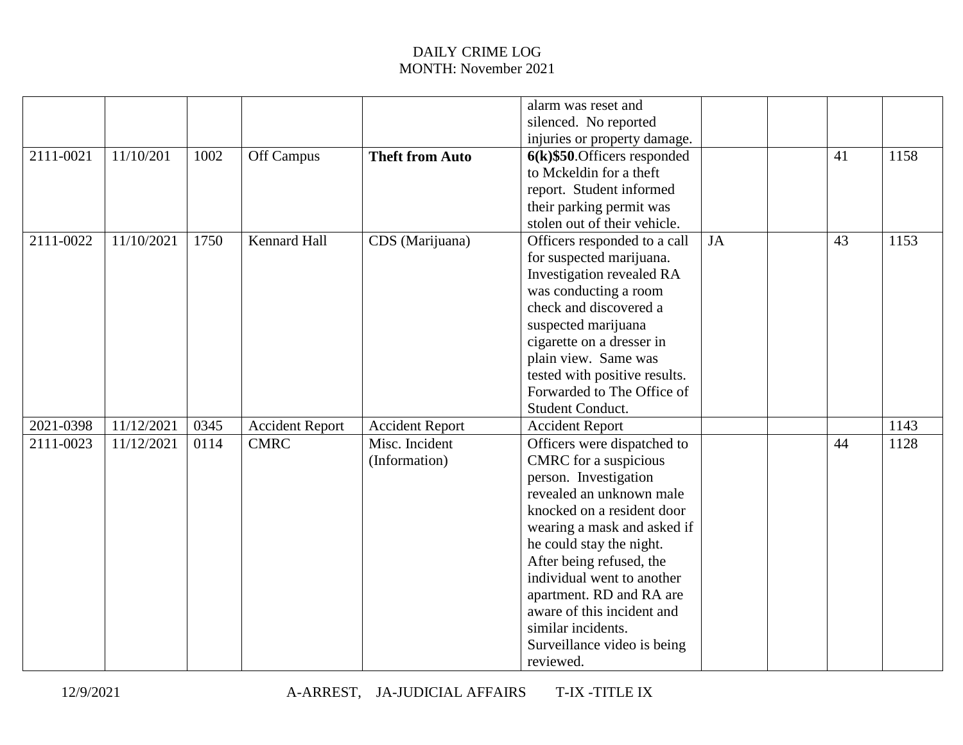|           |            |      |                        |                        | alarm was reset and             |    |    |      |
|-----------|------------|------|------------------------|------------------------|---------------------------------|----|----|------|
|           |            |      |                        |                        | silenced. No reported           |    |    |      |
|           |            |      |                        |                        | injuries or property damage.    |    |    |      |
| 2111-0021 | 11/10/201  | 1002 | Off Campus             | <b>Theft from Auto</b> | $6(k)$ \$50. Officers responded |    | 41 | 1158 |
|           |            |      |                        |                        | to Mckeldin for a theft         |    |    |      |
|           |            |      |                        |                        | report. Student informed        |    |    |      |
|           |            |      |                        |                        | their parking permit was        |    |    |      |
|           |            |      |                        |                        | stolen out of their vehicle.    |    |    |      |
| 2111-0022 | 11/10/2021 | 1750 | <b>Kennard Hall</b>    | CDS (Marijuana)        | Officers responded to a call    | JA | 43 | 1153 |
|           |            |      |                        |                        | for suspected marijuana.        |    |    |      |
|           |            |      |                        |                        | Investigation revealed RA       |    |    |      |
|           |            |      |                        |                        | was conducting a room           |    |    |      |
|           |            |      |                        |                        | check and discovered a          |    |    |      |
|           |            |      |                        |                        | suspected marijuana             |    |    |      |
|           |            |      |                        |                        | cigarette on a dresser in       |    |    |      |
|           |            |      |                        |                        | plain view. Same was            |    |    |      |
|           |            |      |                        |                        | tested with positive results.   |    |    |      |
|           |            |      |                        |                        | Forwarded to The Office of      |    |    |      |
|           |            |      |                        |                        | Student Conduct.                |    |    |      |
| 2021-0398 | 11/12/2021 | 0345 | <b>Accident Report</b> | <b>Accident Report</b> | <b>Accident Report</b>          |    |    | 1143 |
| 2111-0023 | 11/12/2021 | 0114 | <b>CMRC</b>            | Misc. Incident         | Officers were dispatched to     |    | 44 | 1128 |
|           |            |      |                        | (Information)          | CMRC for a suspicious           |    |    |      |
|           |            |      |                        |                        | person. Investigation           |    |    |      |
|           |            |      |                        |                        | revealed an unknown male        |    |    |      |
|           |            |      |                        |                        | knocked on a resident door      |    |    |      |
|           |            |      |                        |                        | wearing a mask and asked if     |    |    |      |
|           |            |      |                        |                        | he could stay the night.        |    |    |      |
|           |            |      |                        |                        | After being refused, the        |    |    |      |
|           |            |      |                        |                        | individual went to another      |    |    |      |
|           |            |      |                        |                        | apartment. RD and RA are        |    |    |      |
|           |            |      |                        |                        | aware of this incident and      |    |    |      |
|           |            |      |                        |                        | similar incidents.              |    |    |      |
|           |            |      |                        |                        | Surveillance video is being     |    |    |      |
|           |            |      |                        |                        | reviewed.                       |    |    |      |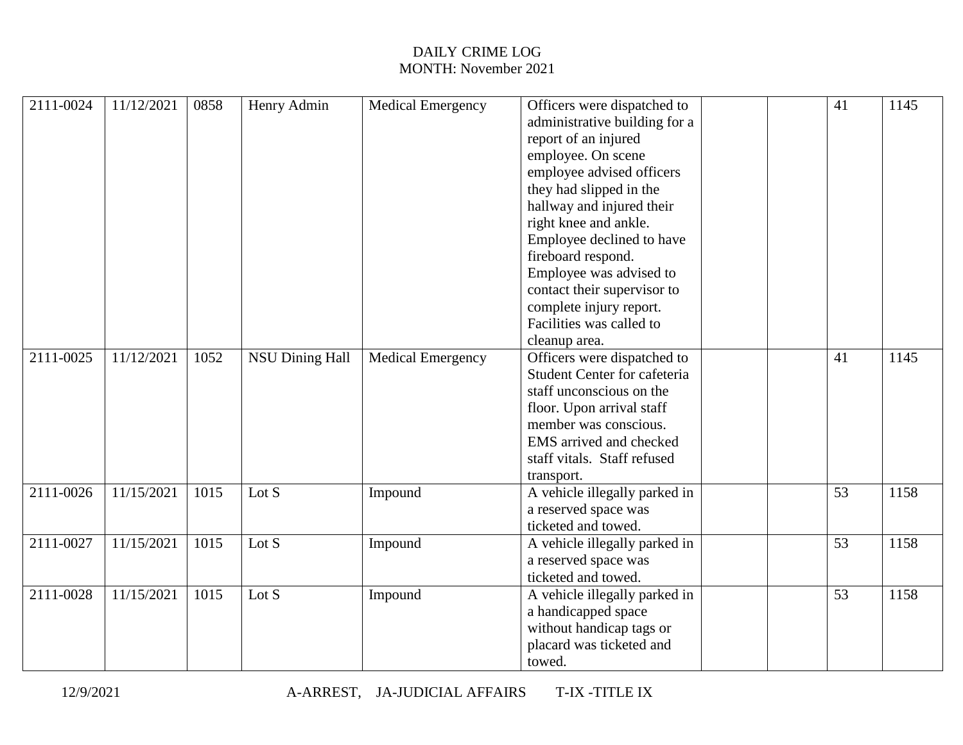| 2111-0024 | 11/12/2021 | 0858 | Henry Admin            | <b>Medical Emergency</b> | Officers were dispatched to         |  | 41 | 1145 |
|-----------|------------|------|------------------------|--------------------------|-------------------------------------|--|----|------|
|           |            |      |                        |                          | administrative building for a       |  |    |      |
|           |            |      |                        |                          | report of an injured                |  |    |      |
|           |            |      |                        |                          | employee. On scene                  |  |    |      |
|           |            |      |                        |                          | employee advised officers           |  |    |      |
|           |            |      |                        |                          | they had slipped in the             |  |    |      |
|           |            |      |                        |                          | hallway and injured their           |  |    |      |
|           |            |      |                        |                          | right knee and ankle.               |  |    |      |
|           |            |      |                        |                          | Employee declined to have           |  |    |      |
|           |            |      |                        |                          | fireboard respond.                  |  |    |      |
|           |            |      |                        |                          | Employee was advised to             |  |    |      |
|           |            |      |                        |                          | contact their supervisor to         |  |    |      |
|           |            |      |                        |                          | complete injury report.             |  |    |      |
|           |            |      |                        |                          | Facilities was called to            |  |    |      |
|           |            |      |                        |                          | cleanup area.                       |  |    |      |
| 2111-0025 | 11/12/2021 | 1052 | <b>NSU Dining Hall</b> | <b>Medical Emergency</b> | Officers were dispatched to         |  | 41 | 1145 |
|           |            |      |                        |                          | <b>Student Center for cafeteria</b> |  |    |      |
|           |            |      |                        |                          | staff unconscious on the            |  |    |      |
|           |            |      |                        |                          | floor. Upon arrival staff           |  |    |      |
|           |            |      |                        |                          | member was conscious.               |  |    |      |
|           |            |      |                        |                          | EMS arrived and checked             |  |    |      |
|           |            |      |                        |                          | staff vitals. Staff refused         |  |    |      |
|           |            |      |                        |                          | transport.                          |  |    |      |
| 2111-0026 | 11/15/2021 | 1015 | Lot S                  | Impound                  | A vehicle illegally parked in       |  | 53 | 1158 |
|           |            |      |                        |                          |                                     |  |    |      |
|           |            |      |                        |                          | a reserved space was                |  |    |      |
|           |            |      |                        |                          | ticketed and towed.                 |  |    |      |
| 2111-0027 | 11/15/2021 | 1015 | Lot S                  | Impound                  | A vehicle illegally parked in       |  | 53 | 1158 |
|           |            |      |                        |                          | a reserved space was                |  |    |      |
|           |            |      |                        |                          | ticketed and towed.                 |  |    |      |
| 2111-0028 | 11/15/2021 | 1015 | Lot $S$                | Impound                  | A vehicle illegally parked in       |  | 53 | 1158 |
|           |            |      |                        |                          | a handicapped space                 |  |    |      |
|           |            |      |                        |                          | without handicap tags or            |  |    |      |
|           |            |      |                        |                          | placard was ticketed and            |  |    |      |
|           |            |      |                        |                          | towed.                              |  |    |      |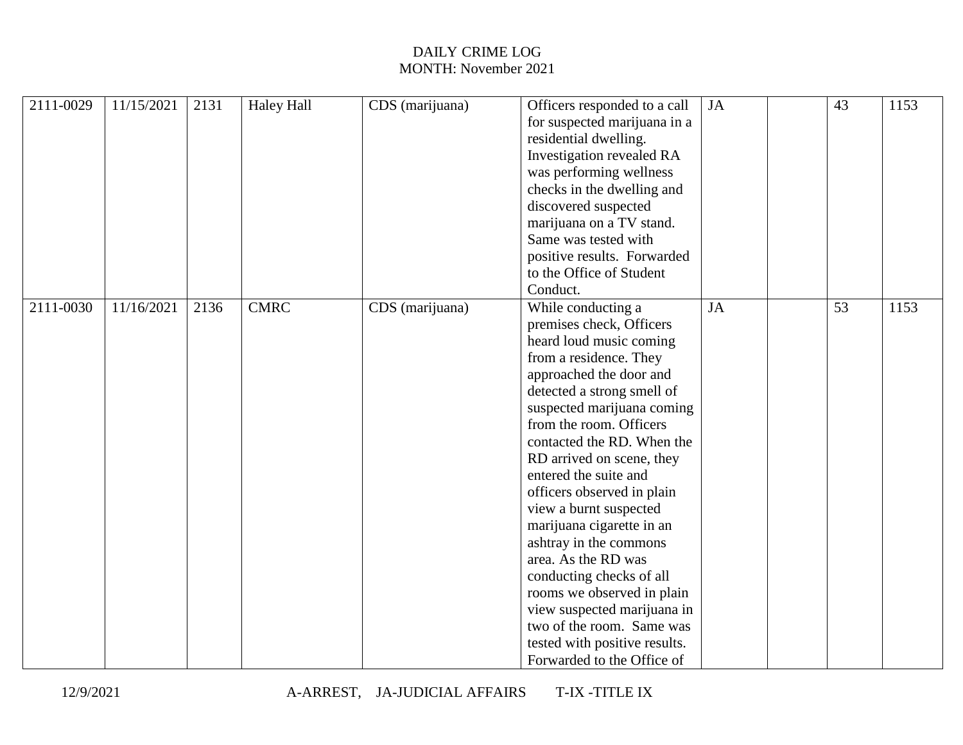| 2111-0029 | 11/15/2021 | 2131 | <b>Haley Hall</b> | CDS (marijuana) | Officers responded to a call  | JA | 43 | 1153 |
|-----------|------------|------|-------------------|-----------------|-------------------------------|----|----|------|
|           |            |      |                   |                 | for suspected marijuana in a  |    |    |      |
|           |            |      |                   |                 | residential dwelling.         |    |    |      |
|           |            |      |                   |                 | Investigation revealed RA     |    |    |      |
|           |            |      |                   |                 | was performing wellness       |    |    |      |
|           |            |      |                   |                 | checks in the dwelling and    |    |    |      |
|           |            |      |                   |                 | discovered suspected          |    |    |      |
|           |            |      |                   |                 | marijuana on a TV stand.      |    |    |      |
|           |            |      |                   |                 | Same was tested with          |    |    |      |
|           |            |      |                   |                 | positive results. Forwarded   |    |    |      |
|           |            |      |                   |                 | to the Office of Student      |    |    |      |
|           |            |      |                   |                 | Conduct.                      |    |    |      |
| 2111-0030 | 11/16/2021 | 2136 | <b>CMRC</b>       | CDS (marijuana) | While conducting a            | JA | 53 | 1153 |
|           |            |      |                   |                 | premises check, Officers      |    |    |      |
|           |            |      |                   |                 | heard loud music coming       |    |    |      |
|           |            |      |                   |                 | from a residence. They        |    |    |      |
|           |            |      |                   |                 | approached the door and       |    |    |      |
|           |            |      |                   |                 | detected a strong smell of    |    |    |      |
|           |            |      |                   |                 | suspected marijuana coming    |    |    |      |
|           |            |      |                   |                 | from the room. Officers       |    |    |      |
|           |            |      |                   |                 | contacted the RD. When the    |    |    |      |
|           |            |      |                   |                 | RD arrived on scene, they     |    |    |      |
|           |            |      |                   |                 | entered the suite and         |    |    |      |
|           |            |      |                   |                 | officers observed in plain    |    |    |      |
|           |            |      |                   |                 | view a burnt suspected        |    |    |      |
|           |            |      |                   |                 | marijuana cigarette in an     |    |    |      |
|           |            |      |                   |                 | ashtray in the commons        |    |    |      |
|           |            |      |                   |                 | area. As the RD was           |    |    |      |
|           |            |      |                   |                 | conducting checks of all      |    |    |      |
|           |            |      |                   |                 | rooms we observed in plain    |    |    |      |
|           |            |      |                   |                 | view suspected marijuana in   |    |    |      |
|           |            |      |                   |                 | two of the room. Same was     |    |    |      |
|           |            |      |                   |                 | tested with positive results. |    |    |      |
|           |            |      |                   |                 | Forwarded to the Office of    |    |    |      |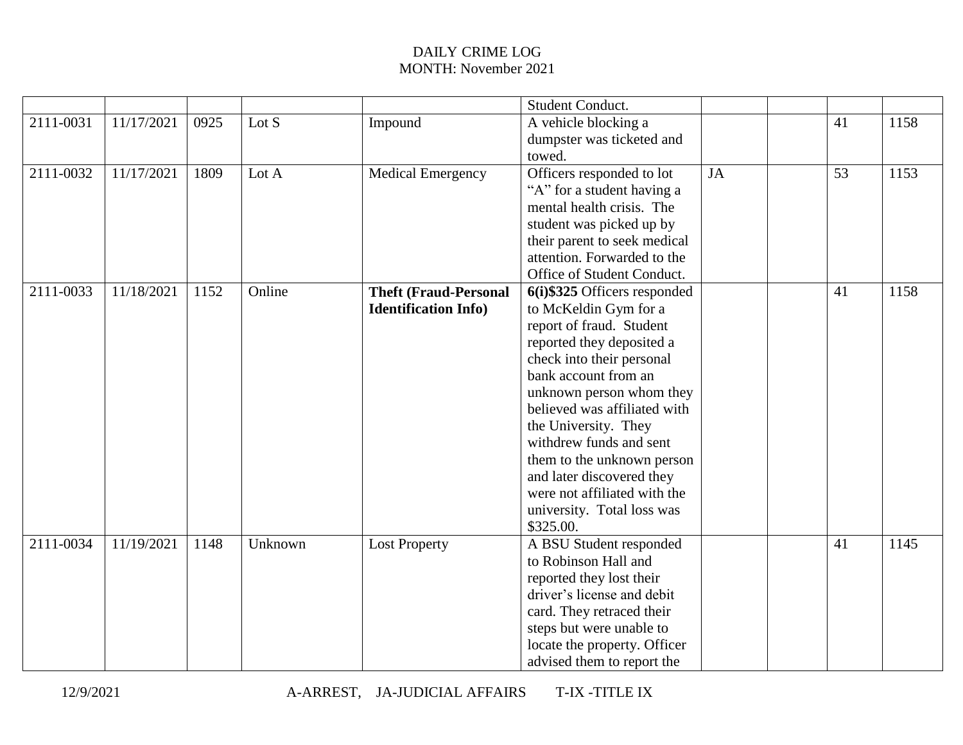|           |            |      |         |                              | Student Conduct.              |           |    |      |
|-----------|------------|------|---------|------------------------------|-------------------------------|-----------|----|------|
| 2111-0031 | 11/17/2021 | 0925 | Lot $S$ | Impound                      | A vehicle blocking a          |           | 41 | 1158 |
|           |            |      |         |                              | dumpster was ticketed and     |           |    |      |
|           |            |      |         |                              | towed.                        |           |    |      |
| 2111-0032 | 11/17/2021 | 1809 | Lot A   | <b>Medical Emergency</b>     | Officers responded to lot     | <b>JA</b> | 53 | 1153 |
|           |            |      |         |                              | "A" for a student having a    |           |    |      |
|           |            |      |         |                              | mental health crisis. The     |           |    |      |
|           |            |      |         |                              | student was picked up by      |           |    |      |
|           |            |      |         |                              | their parent to seek medical  |           |    |      |
|           |            |      |         |                              | attention. Forwarded to the   |           |    |      |
|           |            |      |         |                              | Office of Student Conduct.    |           |    |      |
| 2111-0033 | 11/18/2021 | 1152 | Online  | <b>Theft (Fraud-Personal</b> | 6(i) \$325 Officers responded |           | 41 | 1158 |
|           |            |      |         | <b>Identification Info)</b>  | to McKeldin Gym for a         |           |    |      |
|           |            |      |         |                              | report of fraud. Student      |           |    |      |
|           |            |      |         |                              | reported they deposited a     |           |    |      |
|           |            |      |         |                              | check into their personal     |           |    |      |
|           |            |      |         |                              | bank account from an          |           |    |      |
|           |            |      |         |                              | unknown person whom they      |           |    |      |
|           |            |      |         |                              | believed was affiliated with  |           |    |      |
|           |            |      |         |                              | the University. They          |           |    |      |
|           |            |      |         |                              | withdrew funds and sent       |           |    |      |
|           |            |      |         |                              | them to the unknown person    |           |    |      |
|           |            |      |         |                              | and later discovered they     |           |    |      |
|           |            |      |         |                              | were not affiliated with the  |           |    |      |
|           |            |      |         |                              | university. Total loss was    |           |    |      |
|           |            |      |         |                              | \$325.00.                     |           |    |      |
| 2111-0034 | 11/19/2021 | 1148 | Unknown | <b>Lost Property</b>         | A BSU Student responded       |           | 41 | 1145 |
|           |            |      |         |                              | to Robinson Hall and          |           |    |      |
|           |            |      |         |                              | reported they lost their      |           |    |      |
|           |            |      |         |                              | driver's license and debit    |           |    |      |
|           |            |      |         |                              | card. They retraced their     |           |    |      |
|           |            |      |         |                              | steps but were unable to      |           |    |      |
|           |            |      |         |                              | locate the property. Officer  |           |    |      |
|           |            |      |         |                              | advised them to report the    |           |    |      |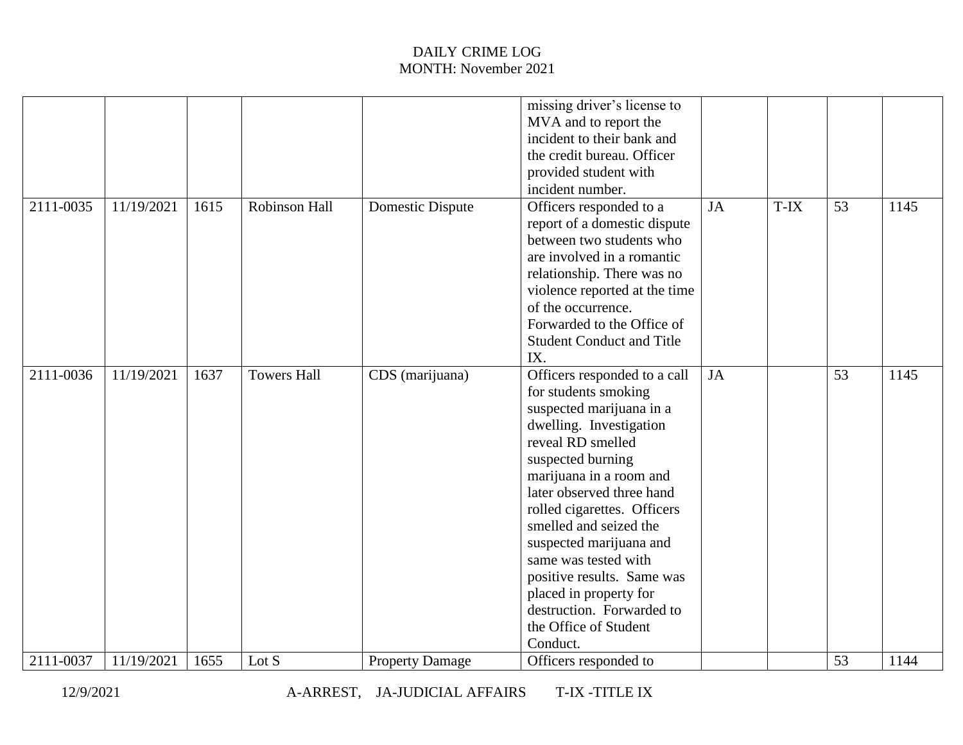|           |            |      |                      |                        | missing driver's license to<br>MVA and to report the<br>incident to their bank and<br>the credit bureau. Officer<br>provided student with<br>incident number.                                                                                                                                                                                                                                                                                       |    |      |    |      |
|-----------|------------|------|----------------------|------------------------|-----------------------------------------------------------------------------------------------------------------------------------------------------------------------------------------------------------------------------------------------------------------------------------------------------------------------------------------------------------------------------------------------------------------------------------------------------|----|------|----|------|
| 2111-0035 | 11/19/2021 | 1615 | <b>Robinson Hall</b> | Domestic Dispute       | Officers responded to a<br>report of a domestic dispute<br>between two students who<br>are involved in a romantic<br>relationship. There was no<br>violence reported at the time<br>of the occurrence.<br>Forwarded to the Office of<br><b>Student Conduct and Title</b><br>IX.                                                                                                                                                                     | JA | T-IX | 53 | 1145 |
| 2111-0036 | 11/19/2021 | 1637 | <b>Towers Hall</b>   | CDS (marijuana)        | Officers responded to a call<br>for students smoking<br>suspected marijuana in a<br>dwelling. Investigation<br>reveal RD smelled<br>suspected burning<br>marijuana in a room and<br>later observed three hand<br>rolled cigarettes. Officers<br>smelled and seized the<br>suspected marijuana and<br>same was tested with<br>positive results. Same was<br>placed in property for<br>destruction. Forwarded to<br>the Office of Student<br>Conduct. | JA |      | 53 | 1145 |
| 2111-0037 | 11/19/2021 | 1655 | Lot S                | <b>Property Damage</b> | Officers responded to                                                                                                                                                                                                                                                                                                                                                                                                                               |    |      | 53 | 1144 |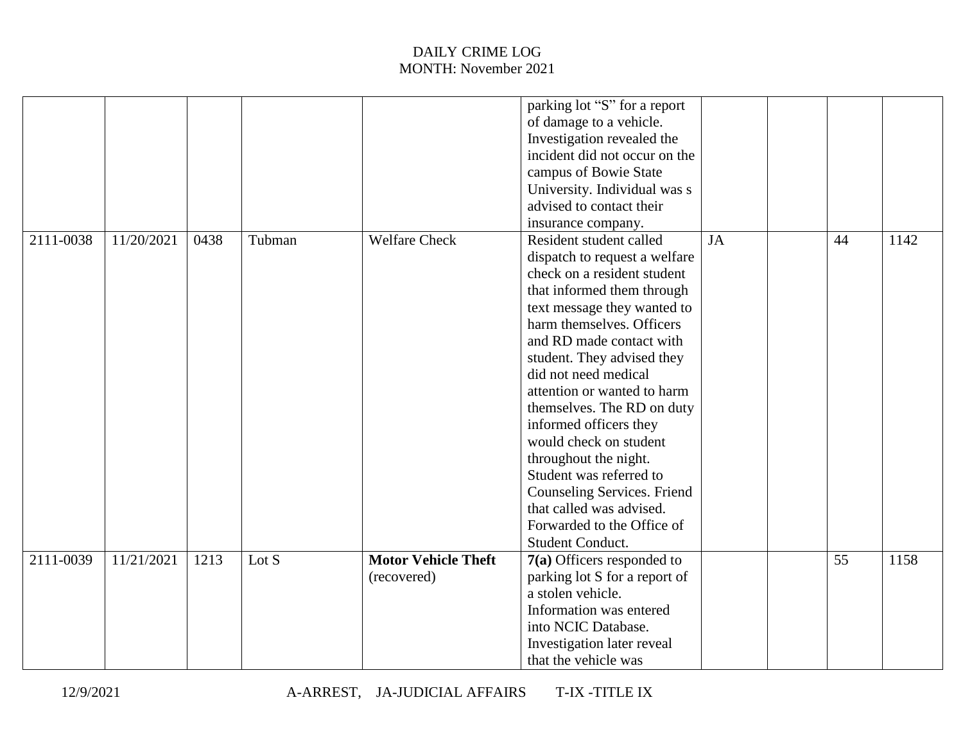|           |            |      |        |                            | parking lot "S" for a report                       |    |    |      |
|-----------|------------|------|--------|----------------------------|----------------------------------------------------|----|----|------|
|           |            |      |        |                            | of damage to a vehicle.                            |    |    |      |
|           |            |      |        |                            | Investigation revealed the                         |    |    |      |
|           |            |      |        |                            | incident did not occur on the                      |    |    |      |
|           |            |      |        |                            | campus of Bowie State                              |    |    |      |
|           |            |      |        |                            | University. Individual was s                       |    |    |      |
|           |            |      |        |                            | advised to contact their                           |    |    |      |
|           |            |      |        |                            | insurance company.                                 |    |    |      |
| 2111-0038 | 11/20/2021 | 0438 | Tubman | <b>Welfare Check</b>       | Resident student called                            | JA | 44 | 1142 |
|           |            |      |        |                            | dispatch to request a welfare                      |    |    |      |
|           |            |      |        |                            | check on a resident student                        |    |    |      |
|           |            |      |        |                            | that informed them through                         |    |    |      |
|           |            |      |        |                            | text message they wanted to                        |    |    |      |
|           |            |      |        |                            | harm themselves. Officers                          |    |    |      |
|           |            |      |        |                            | and RD made contact with                           |    |    |      |
|           |            |      |        |                            | student. They advised they                         |    |    |      |
|           |            |      |        |                            | did not need medical                               |    |    |      |
|           |            |      |        |                            | attention or wanted to harm                        |    |    |      |
|           |            |      |        |                            | themselves. The RD on duty                         |    |    |      |
|           |            |      |        |                            | informed officers they                             |    |    |      |
|           |            |      |        |                            | would check on student                             |    |    |      |
|           |            |      |        |                            | throughout the night.                              |    |    |      |
|           |            |      |        |                            | Student was referred to                            |    |    |      |
|           |            |      |        |                            | Counseling Services. Friend                        |    |    |      |
|           |            |      |        |                            | that called was advised.                           |    |    |      |
|           |            |      |        |                            | Forwarded to the Office of                         |    |    |      |
|           |            |      |        |                            | Student Conduct.                                   |    |    |      |
| 2111-0039 | 11/21/2021 | 1213 | Lot S  | <b>Motor Vehicle Theft</b> | $7(a)$ Officers responded to                       |    | 55 | 1158 |
|           |            |      |        | (recovered)                | parking lot S for a report of                      |    |    |      |
|           |            |      |        |                            | a stolen vehicle.                                  |    |    |      |
|           |            |      |        |                            | Information was entered                            |    |    |      |
|           |            |      |        |                            | into NCIC Database.                                |    |    |      |
|           |            |      |        |                            |                                                    |    |    |      |
|           |            |      |        |                            | Investigation later reveal<br>that the vehicle was |    |    |      |
|           |            |      |        |                            |                                                    |    |    |      |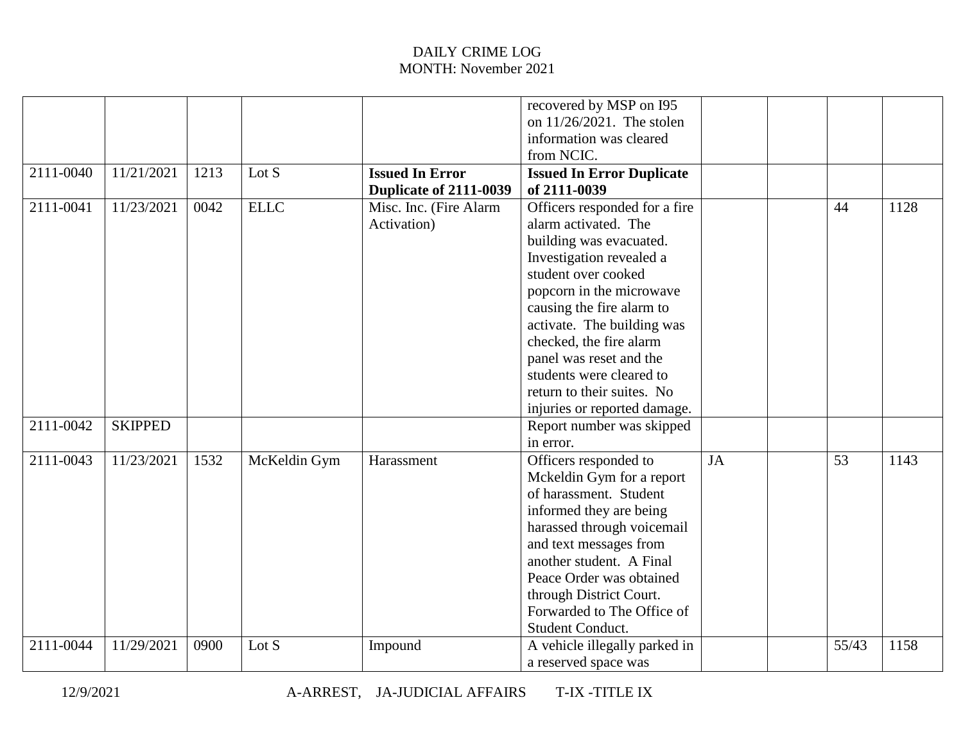| 2111-0040 | 11/21/2021     | 1213 | Lot S        | <b>Issued In Error</b>                | recovered by MSP on I95<br>on $11/26/2021$ . The stolen<br>information was cleared<br>from NCIC.<br><b>Issued In Error Duplicate</b>                                                                                                                                                                                                                                       |           |       |      |
|-----------|----------------|------|--------------|---------------------------------------|----------------------------------------------------------------------------------------------------------------------------------------------------------------------------------------------------------------------------------------------------------------------------------------------------------------------------------------------------------------------------|-----------|-------|------|
|           |                |      |              | Duplicate of 2111-0039                | of 2111-0039                                                                                                                                                                                                                                                                                                                                                               |           |       |      |
| 2111-0041 | 11/23/2021     | 0042 | <b>ELLC</b>  | Misc. Inc. (Fire Alarm<br>Activation) | Officers responded for a fire<br>alarm activated. The<br>building was evacuated.<br>Investigation revealed a<br>student over cooked<br>popcorn in the microwave<br>causing the fire alarm to<br>activate. The building was<br>checked, the fire alarm<br>panel was reset and the<br>students were cleared to<br>return to their suites. No<br>injuries or reported damage. |           | 44    | 1128 |
| 2111-0042 | <b>SKIPPED</b> |      |              |                                       | Report number was skipped<br>in error.                                                                                                                                                                                                                                                                                                                                     |           |       |      |
| 2111-0043 | 11/23/2021     | 1532 | McKeldin Gym | Harassment                            | Officers responded to<br>Mckeldin Gym for a report<br>of harassment. Student<br>informed they are being<br>harassed through voicemail<br>and text messages from<br>another student. A Final<br>Peace Order was obtained<br>through District Court.<br>Forwarded to The Office of<br>Student Conduct.                                                                       | <b>JA</b> | 53    | 1143 |
| 2111-0044 | 11/29/2021     | 0900 | Lot S        | Impound                               | A vehicle illegally parked in<br>a reserved space was                                                                                                                                                                                                                                                                                                                      |           | 55/43 | 1158 |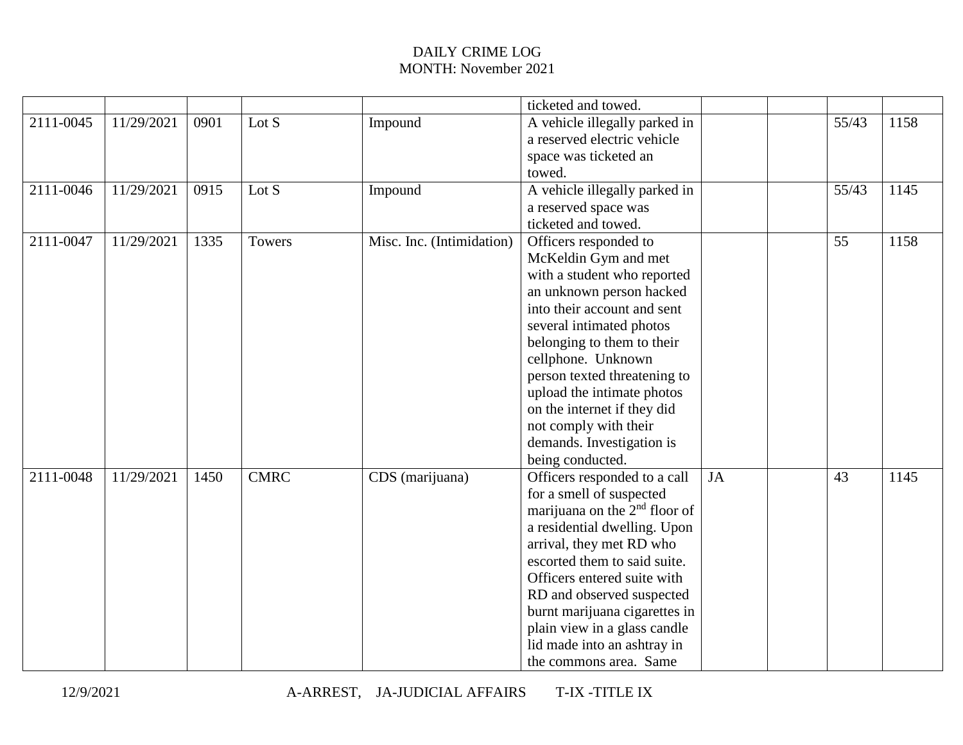|           |            |      |             |                           | ticketed and towed.                       |           |       |      |
|-----------|------------|------|-------------|---------------------------|-------------------------------------------|-----------|-------|------|
| 2111-0045 | 11/29/2021 | 0901 | Lot $S$     | Impound                   | A vehicle illegally parked in             |           | 55/43 | 1158 |
|           |            |      |             |                           | a reserved electric vehicle               |           |       |      |
|           |            |      |             |                           | space was ticketed an                     |           |       |      |
|           |            |      |             |                           | towed.                                    |           |       |      |
| 2111-0046 | 11/29/2021 | 0915 | Lot S       | Impound                   | A vehicle illegally parked in             |           | 55/43 | 1145 |
|           |            |      |             |                           | a reserved space was                      |           |       |      |
|           |            |      |             |                           | ticketed and towed.                       |           |       |      |
| 2111-0047 | 11/29/2021 | 1335 | Towers      | Misc. Inc. (Intimidation) | Officers responded to                     |           | 55    | 1158 |
|           |            |      |             |                           | McKeldin Gym and met                      |           |       |      |
|           |            |      |             |                           | with a student who reported               |           |       |      |
|           |            |      |             |                           | an unknown person hacked                  |           |       |      |
|           |            |      |             |                           | into their account and sent               |           |       |      |
|           |            |      |             |                           | several intimated photos                  |           |       |      |
|           |            |      |             |                           | belonging to them to their                |           |       |      |
|           |            |      |             |                           | cellphone. Unknown                        |           |       |      |
|           |            |      |             |                           | person texted threatening to              |           |       |      |
|           |            |      |             |                           | upload the intimate photos                |           |       |      |
|           |            |      |             |                           | on the internet if they did               |           |       |      |
|           |            |      |             |                           | not comply with their                     |           |       |      |
|           |            |      |             |                           | demands. Investigation is                 |           |       |      |
|           |            |      |             |                           | being conducted.                          |           |       |      |
| 2111-0048 | 11/29/2021 | 1450 | <b>CMRC</b> | CDS (marijuana)           | Officers responded to a call              | <b>JA</b> | 43    | 1145 |
|           |            |      |             |                           | for a smell of suspected                  |           |       |      |
|           |            |      |             |                           | marijuana on the 2 <sup>nd</sup> floor of |           |       |      |
|           |            |      |             |                           | a residential dwelling. Upon              |           |       |      |
|           |            |      |             |                           | arrival, they met RD who                  |           |       |      |
|           |            |      |             |                           | escorted them to said suite.              |           |       |      |
|           |            |      |             |                           | Officers entered suite with               |           |       |      |
|           |            |      |             |                           | RD and observed suspected                 |           |       |      |
|           |            |      |             |                           | burnt marijuana cigarettes in             |           |       |      |
|           |            |      |             |                           | plain view in a glass candle              |           |       |      |
|           |            |      |             |                           | lid made into an ashtray in               |           |       |      |
|           |            |      |             |                           | the commons area. Same                    |           |       |      |